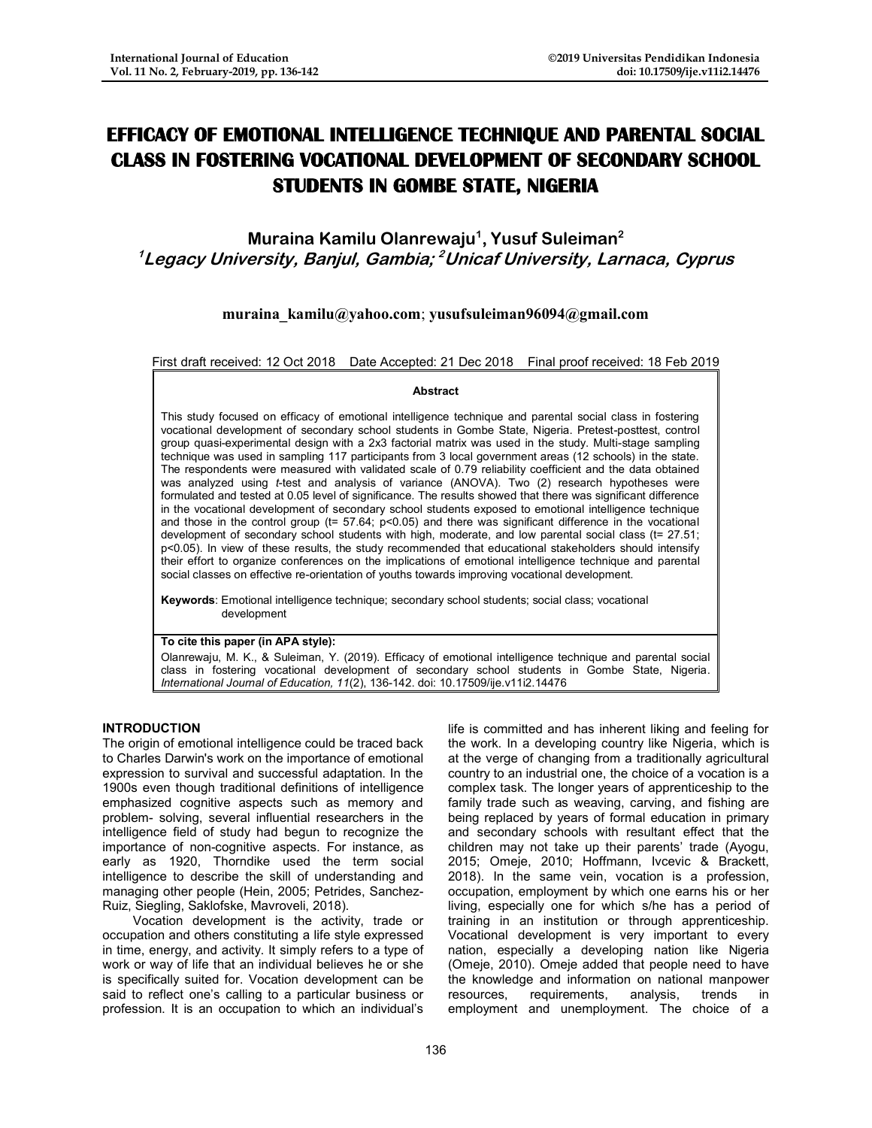# **EFFICACY OF EMOTIONAL INTELLIGENCE TECHNIQUE AND PARENTAL SOCIAL CLASS IN FOSTERING VOCATIONAL DEVELOPMENT OF SECONDARY SCHOOL STUDENTS IN GOMBE STATE, NIGERIA**

**Muraina Kamilu Olanrewaju<sup>1</sup> , Yusuf Suleiman<sup>2</sup> <sup>1</sup>Legacy University, Banjul, Gambia; <sup>2</sup>Unicaf University, Larnaca, Cyprus**

# **[muraina\\_kamilu@yahoo.com](mailto:muraina_kamilu@yahoo.com)**; **[yusufsuleiman96094@gmail.com](mailto:yusufsuleiman96094@gmail.com)**

First draft received: 12 Oct 2018 Date Accepted: 21 Dec 2018 Final proof received: 18 Feb 2019

#### **Abstract**

This study focused on efficacy of emotional intelligence technique and parental social class in fostering vocational development of secondary school students in Gombe State, Nigeria. Pretest-posttest, control group quasi-experimental design with a 2x3 factorial matrix was used in the study. Multi-stage sampling technique was used in sampling 117 participants from 3 local government areas (12 schools) in the state. The respondents were measured with validated scale of 0.79 reliability coefficient and the data obtained was analyzed using *t*-test and analysis of variance (ANOVA). Two (2) research hypotheses were formulated and tested at 0.05 level of significance. The results showed that there was significant difference in the vocational development of secondary school students exposed to emotional intelligence technique and those in the control group ( $t= 57.64$ ;  $p<0.05$ ) and there was significant difference in the vocational development of secondary school students with high, moderate, and low parental social class (t= 27.51; p<0.05). In view of these results, the study recommended that educational stakeholders should intensify their effort to organize conferences on the implications of emotional intelligence technique and parental social classes on effective re-orientation of youths towards improving vocational development.

**Keywords**: Emotional intelligence technique; secondary school students; social class; vocational development

#### **To cite this paper (in APA style):**

Olanrewaju, M. K., & Suleiman, Y. (2019). Efficacy of emotional intelligence technique and parental social class in fostering vocational development of secondary school students in Gombe State, Nigeria. *International Journal of Education, 11*(2), 136-142. doi: 10.17509/ije.v11i2.14476

## **INTRODUCTION**

The origin of emotional intelligence could be traced back to Charles Darwin's work on the importance of emotional expression to survival and successful adaptation. In the 1900s even though traditional definitions of intelligence emphasized cognitive aspects such as memory and problem- solving, several influential researchers in the intelligence field of study had begun to recognize the importance of non-cognitive aspects. For instance, as early as 1920, Thorndike used the term social intelligence to describe the skill of understanding and managing other people (Hein, 2005; Petrides, Sanchez-Ruiz, Siegling, Saklofske, Mavroveli, 2018).

Vocation development is the activity, trade or occupation and others constituting a life style expressed in time, energy, and activity. It simply refers to a type of work or way of life that an individual believes he or she is specifically suited for. Vocation development can be said to reflect one's calling to a particular business or profession. It is an occupation to which an individual's

life is committed and has inherent liking and feeling for the work. In a developing country like Nigeria, which is at the verge of changing from a traditionally agricultural country to an industrial one, the choice of a vocation is a complex task. The longer years of apprenticeship to the family trade such as weaving, carving, and fishing are being replaced by years of formal education in primary and secondary schools with resultant effect that the children may not take up their parents' trade (Ayogu, 2015; Omeje, 2010; Hoffmann, Ivcevic & Brackett, 2018). In the same vein, vocation is a profession, occupation, employment by which one earns his or her living, especially one for which s/he has a period of training in an institution or through apprenticeship. Vocational development is very important to every nation, especially a developing nation like Nigeria (Omeje, 2010). Omeje added that people need to have the knowledge and information on national manpower<br>resources. requirements. analysis. trends in resources, requirements, analysis, trends in employment and unemployment. The choice of a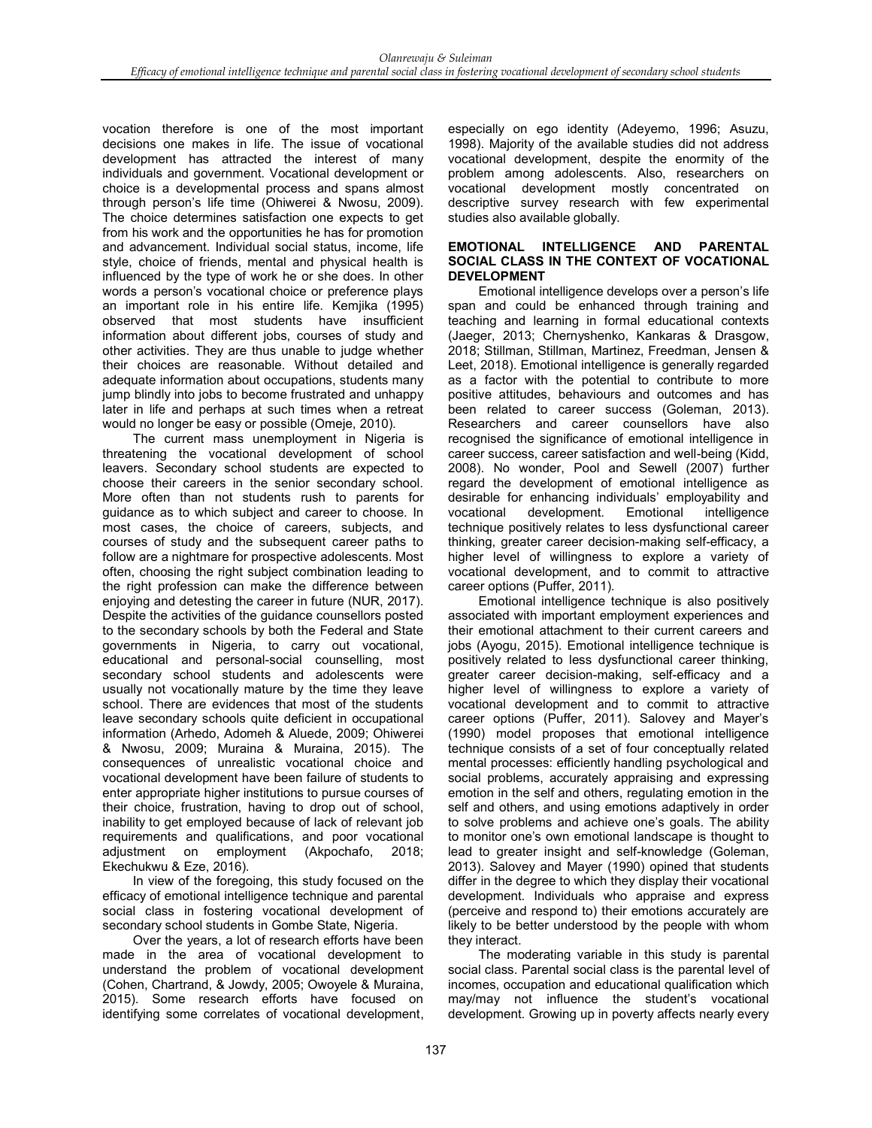vocation therefore is one of the most important decisions one makes in life. The issue of vocational development has attracted the interest of many individuals and government. Vocational development or choice is a developmental process and spans almost through person's life time (Ohiwerei & Nwosu, 2009). The choice determines satisfaction one expects to get from his work and the opportunities he has for promotion and advancement. Individual social status, income, life style, choice of friends, mental and physical health is influenced by the type of work he or she does. In other words a person's vocational choice or preference plays an important role in his entire life. Kemjika (1995) observed that most students have insufficient information about different jobs, courses of study and other activities. They are thus unable to judge whether their choices are reasonable. Without detailed and adequate information about occupations, students many jump blindly into jobs to become frustrated and unhappy later in life and perhaps at such times when a retreat would no longer be easy or possible (Omeje, 2010).

The current mass unemployment in Nigeria is threatening the vocational development of school leavers. Secondary school students are expected to choose their careers in the senior secondary school. More often than not students rush to parents for guidance as to which subject and career to choose. In most cases, the choice of careers, subjects, and courses of study and the subsequent career paths to follow are a nightmare for prospective adolescents. Most often, choosing the right subject combination leading to the right profession can make the difference between enjoying and detesting the career in future (NUR, 2017). Despite the activities of the guidance counsellors posted to the secondary schools by both the Federal and State governments in Nigeria, to carry out vocational, educational and personal-social counselling, most secondary school students and adolescents were usually not vocationally mature by the time they leave school. There are evidences that most of the students leave secondary schools quite deficient in occupational information (Arhedo, Adomeh & Aluede, 2009; Ohiwerei & Nwosu, 2009; Muraina & Muraina, 2015). The consequences of unrealistic vocational choice and vocational development have been failure of students to enter appropriate higher institutions to pursue courses of their choice, frustration, having to drop out of school, inability to get employed because of lack of relevant job requirements and qualifications, and poor vocational adjustment on employment (Akpochafo, 2018; Ekechukwu & Eze, 2016).

In view of the foregoing, this study focused on the efficacy of emotional intelligence technique and parental social class in fostering vocational development of secondary school students in Gombe State, Nigeria.

Over the years, a lot of research efforts have been made in the area of vocational development to understand the problem of vocational development (Cohen, Chartrand, & Jowdy, 2005; Owoyele & Muraina, 2015). Some research efforts have focused on identifying some correlates of vocational development,

especially on ego identity (Adeyemo, 1996; Asuzu, 1998). Majority of the available studies did not address vocational development, despite the enormity of the problem among adolescents. Also, researchers on vocational development mostly concentrated on descriptive survey research with few experimental studies also available globally.

## **EMOTIONAL INTELLIGENCE AND PARENTAL SOCIAL CLASS IN THE CONTEXT OF VOCATIONAL DEVELOPMENT**

Emotional intelligence develops over a person's life span and could be enhanced through training and teaching and learning in formal educational contexts (Jaeger, 2013; Chernyshenko, Kankaras & Drasgow, 2018; Stillman, Stillman, Martinez, Freedman, Jensen & Leet, 2018). Emotional intelligence is generally regarded as a factor with the potential to contribute to more positive attitudes, behaviours and outcomes and has been related to career success (Goleman, 2013). Researchers and career counsellors have also recognised the significance of emotional intelligence in career success, career satisfaction and well-being (Kidd, 2008). No wonder, Pool and Sewell (2007) further regard the development of emotional intelligence as desirable for enhancing individuals' employability and vocational development. Emotional intelligence technique positively relates to less dysfunctional career thinking, greater career decision-making self-efficacy, a higher level of willingness to explore a variety of vocational development, and to commit to attractive career options (Puffer, 2011).

Emotional intelligence technique is also positively associated with important employment experiences and their emotional attachment to their current careers and jobs (Ayogu, 2015). Emotional intelligence technique is positively related to less dysfunctional career thinking, greater career decision-making, self-efficacy and a higher level of willingness to explore a variety of vocational development and to commit to attractive career options (Puffer, 2011). Salovey and Mayer's (1990) model proposes that emotional intelligence technique consists of a set of four conceptually related mental processes: efficiently handling psychological and social problems, accurately appraising and expressing emotion in the self and others, regulating emotion in the self and others, and using emotions adaptively in order to solve problems and achieve one's goals. The ability to monitor one's own emotional landscape is thought to lead to greater insight and self-knowledge (Goleman, 2013). Salovey and Mayer (1990) opined that students differ in the degree to which they display their vocational development. Individuals who appraise and express (perceive and respond to) their emotions accurately are likely to be better understood by the people with whom they interact.

The moderating variable in this study is parental social class. Parental social class is the parental level of incomes, occupation and educational qualification which may/may not influence the student's vocational development. Growing up in poverty affects nearly every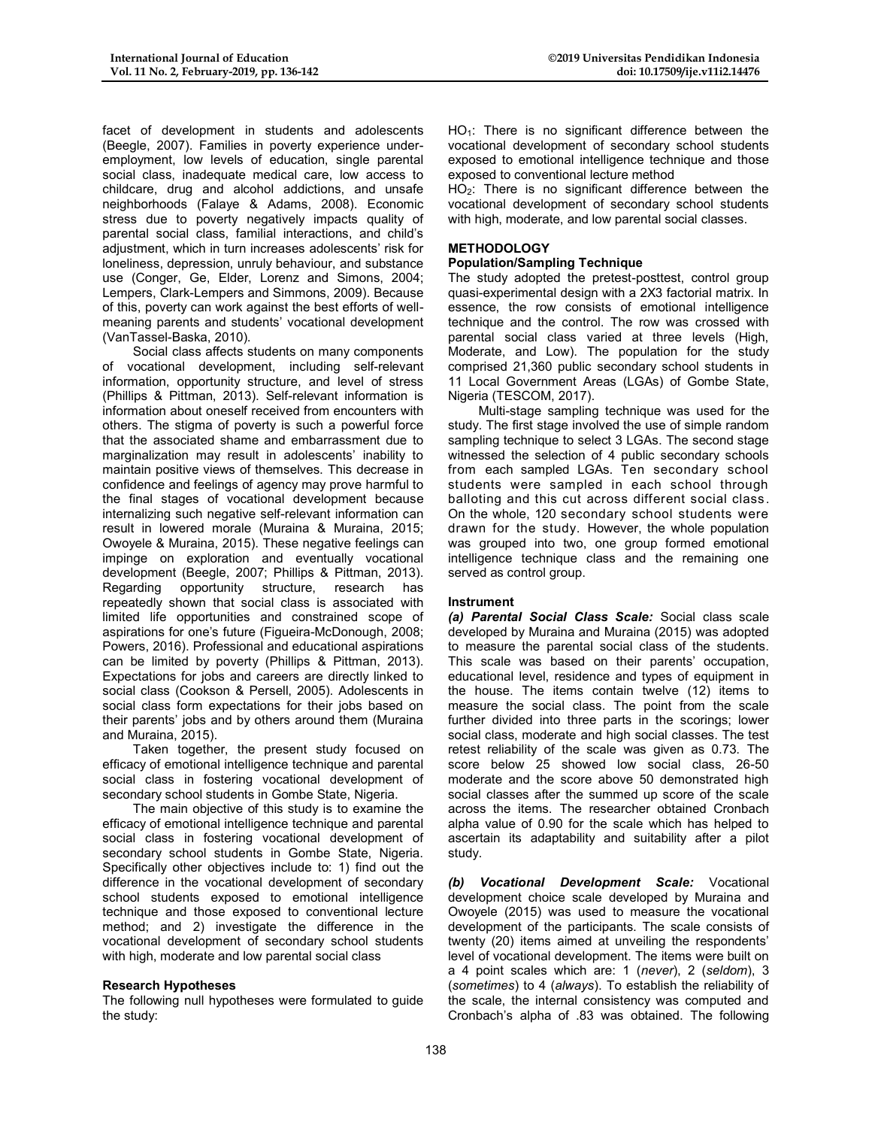facet of development in students and adolescents (Beegle, 2007). Families in poverty experience underemployment, low levels of education, single parental social class, inadequate medical care, low access to childcare, drug and alcohol addictions, and unsafe neighborhoods (Falaye & Adams, 2008). Economic stress due to poverty negatively impacts quality of parental social class, familial interactions, and child's adjustment, which in turn increases adolescents' risk for loneliness, depression, unruly behaviour, and substance use (Conger, Ge, Elder, Lorenz and Simons, 2004; Lempers, Clark-Lempers and Simmons, 2009). Because of this, poverty can work against the best efforts of wellmeaning parents and students' vocational development (VanTassel-Baska, 2010).

Social class affects students on many components of vocational development, including self-relevant information, opportunity structure, and level of stress (Phillips & Pittman, 2013). Self-relevant information is information about oneself received from encounters with others. The stigma of poverty is such a powerful force that the associated shame and embarrassment due to marginalization may result in adolescents' inability to maintain positive views of themselves. This decrease in confidence and feelings of agency may prove harmful to the final stages of vocational development because internalizing such negative self-relevant information can result in lowered morale (Muraina & Muraina, 2015; Owoyele & Muraina, 2015). These negative feelings can impinge on exploration and eventually vocational development (Beegle, 2007; Phillips & Pittman, 2013). Regarding opportunity structure, research has repeatedly shown that social class is associated with limited life opportunities and constrained scope of aspirations for one's future (Figueira-McDonough, 2008; Powers, 2016). Professional and educational aspirations can be limited by poverty (Phillips & Pittman, 2013). Expectations for jobs and careers are directly linked to social class (Cookson & Persell, 2005). Adolescents in social class form expectations for their jobs based on their parents' jobs and by others around them (Muraina and Muraina, 2015).

Taken together, the present study focused on efficacy of emotional intelligence technique and parental social class in fostering vocational development of secondary school students in Gombe State, Nigeria.

The main objective of this study is to examine the efficacy of emotional intelligence technique and parental social class in fostering vocational development of secondary school students in Gombe State, Nigeria. Specifically other objectives include to: 1) find out the difference in the vocational development of secondary school students exposed to emotional intelligence technique and those exposed to conventional lecture method; and 2) investigate the difference in the vocational development of secondary school students with high, moderate and low parental social class

## **Research Hypotheses**

The following null hypotheses were formulated to guide the study:

 $HO<sub>1</sub>$ : There is no significant difference between the vocational development of secondary school students exposed to emotional intelligence technique and those exposed to conventional lecture method

 $HO<sub>2</sub>$ : There is no significant difference between the vocational development of secondary school students with high, moderate, and low parental social classes.

#### **METHODOLOGY**

## **Population/Sampling Technique**

The study adopted the pretest-posttest, control group quasi-experimental design with a 2X3 factorial matrix. In essence, the row consists of emotional intelligence technique and the control. The row was crossed with parental social class varied at three levels (High, Moderate, and Low). The population for the study comprised 21,360 public secondary school students in 11 Local Government Areas (LGAs) of Gombe State, Nigeria (TESCOM, 2017).

Multi-stage sampling technique was used for the study. The first stage involved the use of simple random sampling technique to select 3 LGAs. The second stage witnessed the selection of 4 public secondary schools from each sampled LGAs. Ten secondary school students were sampled in each school through balloting and this cut across different social class . On the whole, 120 secondary school students were drawn for the study. However, the whole population was grouped into two, one group formed emotional intelligence technique class and the remaining one served as control group.

#### **Instrument**

*(a) Parental Social Class Scale:* Social class scale developed by Muraina and Muraina (2015) was adopted to measure the parental social class of the students. This scale was based on their parents' occupation, educational level, residence and types of equipment in the house. The items contain twelve (12) items to measure the social class. The point from the scale further divided into three parts in the scorings; lower social class, moderate and high social classes. The test retest reliability of the scale was given as 0.73. The score below 25 showed low social class, 26-50 moderate and the score above 50 demonstrated high social classes after the summed up score of the scale across the items. The researcher obtained Cronbach alpha value of 0.90 for the scale which has helped to ascertain its adaptability and suitability after a pilot study.

*(b) Vocational Development Scale:* Vocational development choice scale developed by Muraina and Owoyele (2015) was used to measure the vocational development of the participants. The scale consists of twenty (20) items aimed at unveiling the respondents' level of vocational development. The items were built on a 4 point scales which are: 1 (*never*), 2 (*seldom*), 3 (*sometimes*) to 4 (*always*). To establish the reliability of the scale, the internal consistency was computed and Cronbach's alpha of .83 was obtained. The following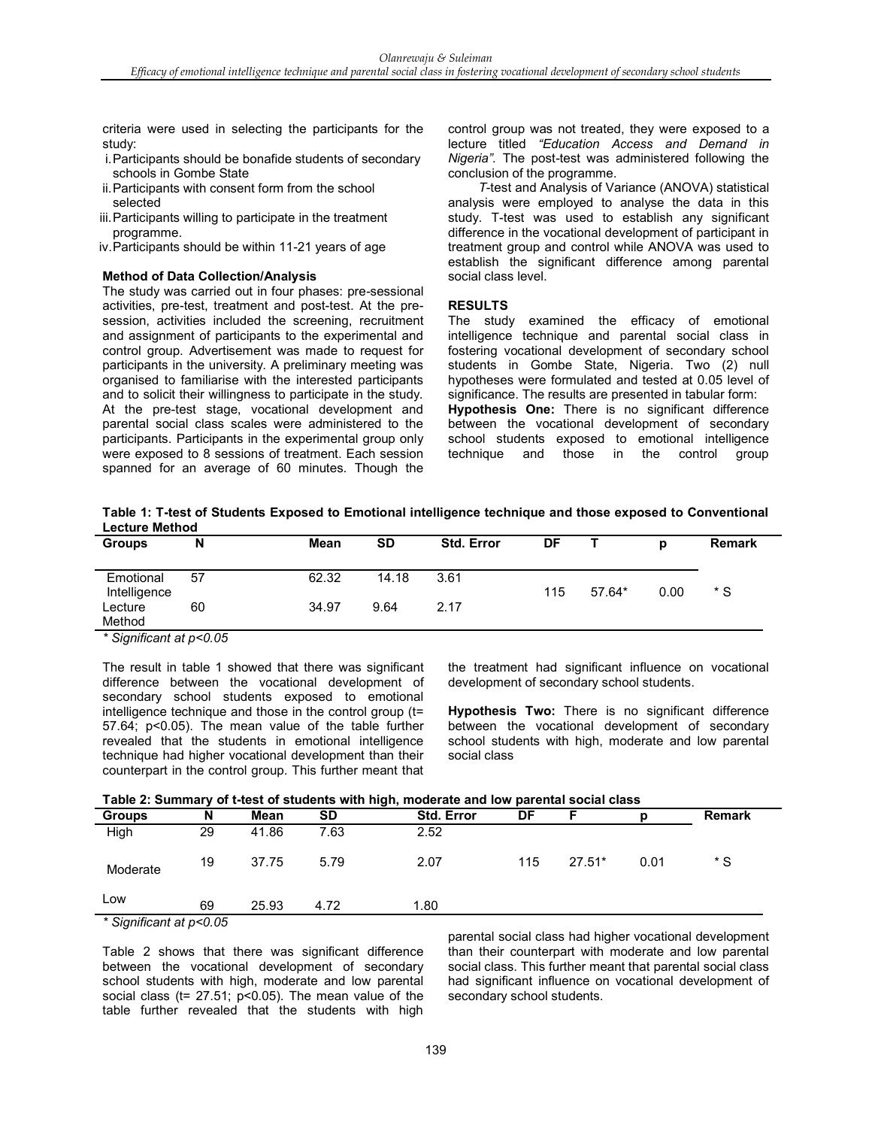criteria were used in selecting the participants for the study:

- i.Participants should be bonafide students of secondary schools in Gombe State
- ii.Participants with consent form from the school selected
- iii.Participants willing to participate in the treatment programme.
- iv.Participants should be within 11-21 years of age

#### **Method of Data Collection/Analysis**

The study was carried out in four phases: pre-sessional activities, pre-test, treatment and post-test. At the presession, activities included the screening, recruitment and assignment of participants to the experimental and control group. Advertisement was made to request for participants in the university. A preliminary meeting was organised to familiarise with the interested participants and to solicit their willingness to participate in the study. At the pre-test stage, vocational development and parental social class scales were administered to the participants. Participants in the experimental group only were exposed to 8 sessions of treatment. Each session spanned for an average of 60 minutes. Though the

control group was not treated, they were exposed to a lecture titled *"Education Access and Demand in Nigeria".* The post-test was administered following the conclusion of the programme.

*T*-test and Analysis of Variance (ANOVA) statistical analysis were employed to analyse the data in this study. T-test was used to establish any significant difference in the vocational development of participant in treatment group and control while ANOVA was used to establish the significant difference among parental social class level.

#### **RESULTS**

The study examined the efficacy of emotional intelligence technique and parental social class in fostering vocational development of secondary school students in Gombe State, Nigeria. Two (2) null hypotheses were formulated and tested at 0.05 level of significance. The results are presented in tabular form: **Hypothesis One:** There is no significant difference

between the vocational development of secondary school students exposed to emotional intelligence technique and those in the control group

| Table 1: T-test of Students Exposed to Emotional intelligence technique and those exposed to Conventional |  |
|-----------------------------------------------------------------------------------------------------------|--|
| <b>Lecture Method</b>                                                                                     |  |

| <b>Groups</b>             | N       | Mean  | <b>SD</b> | <b>Std. Error</b> | DF  |          | n    | <b>Remark</b> |
|---------------------------|---------|-------|-----------|-------------------|-----|----------|------|---------------|
| Emotional<br>Intelligence | 57      | 62.32 | 14.18     | 3.61              | 115 | $57.64*$ | 0.00 | * S           |
| Lecture<br>Method         | 60<br>. | 34.97 | 9.64      | 2.17              |     |          |      |               |

*\* Significant at p<0.05*

The result in table 1 showed that there was significant difference between the vocational development of secondary school students exposed to emotional intelligence technique and those in the control group (t= 57.64; p<0.05). The mean value of the table further revealed that the students in emotional intelligence technique had higher vocational development than their counterpart in the control group. This further meant that

the treatment had significant influence on vocational development of secondary school students.

**Hypothesis Two:** There is no significant difference between the vocational development of secondary school students with high, moderate and low parental social class

| <b>Groups</b>        | N  | Mean  | <b>SD</b> | <b>Std. Error</b> | DF  |          |      | <b>Remark</b> |  |
|----------------------|----|-------|-----------|-------------------|-----|----------|------|---------------|--|
| High                 | 29 | 41.86 | 7.63      | 2.52              |     |          |      |               |  |
| Moderate             | 19 | 37.75 | 5.79      | 2.07              | 115 | $27.51*$ | 0.01 | * S           |  |
| Low                  | 69 | 25.93 | 4.72      | 1.80              |     |          |      |               |  |
| $*$ 0 $$ if $$ if $$ |    |       |           |                   |     |          |      |               |  |

*<sup>\*</sup> Significant at p<0.05*

Table 2 shows that there was significant difference between the vocational development of secondary school students with high, moderate and low parental social class (t= 27.51; p<0.05). The mean value of the table further revealed that the students with high

parental social class had higher vocational development than their counterpart with moderate and low parental social class. This further meant that parental social class had significant influence on vocational development of secondary school students.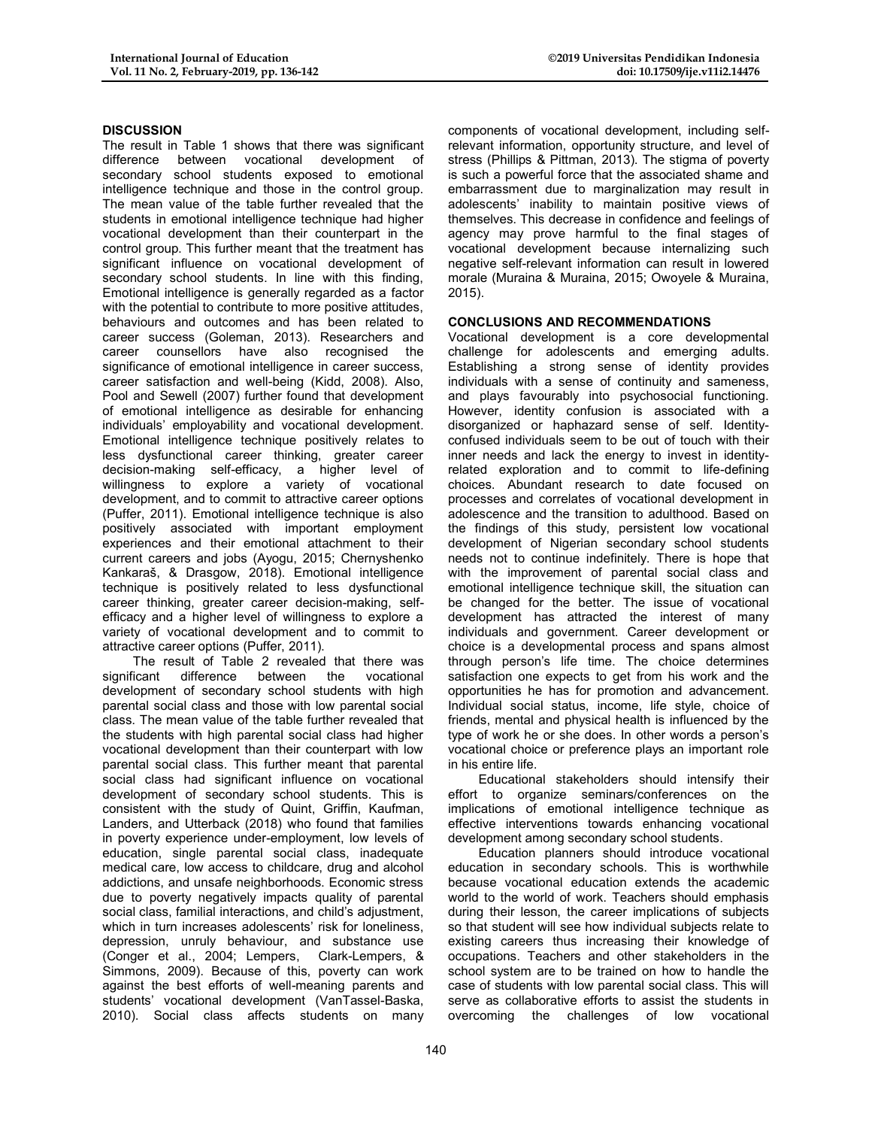## **DISCUSSION**

The result in Table 1 shows that there was significant difference between vocational development of secondary school students exposed to emotional intelligence technique and those in the control group. The mean value of the table further revealed that the students in emotional intelligence technique had higher vocational development than their counterpart in the control group. This further meant that the treatment has significant influence on vocational development of secondary school students. In line with this finding, Emotional intelligence is generally regarded as a factor with the potential to contribute to more positive attitudes, behaviours and outcomes and has been related to career success (Goleman, 2013). Researchers and career counsellors have also recognised the significance of emotional intelligence in career success, career satisfaction and well-being (Kidd, 2008). Also, Pool and Sewell (2007) further found that development of emotional intelligence as desirable for enhancing individuals' employability and vocational development. Emotional intelligence technique positively relates to less dysfunctional career thinking, greater career decision-making self-efficacy, a higher level of willingness to explore a variety of vocational development, and to commit to attractive career options (Puffer, 2011). Emotional intelligence technique is also positively associated with important employment experiences and their emotional attachment to their current careers and jobs (Ayogu, 2015; Chernyshenko Kankaraš, & Drasgow, 2018). Emotional intelligence technique is positively related to less dysfunctional career thinking, greater career decision-making, selfefficacy and a higher level of willingness to explore a variety of vocational development and to commit to attractive career options (Puffer, 2011).

The result of Table 2 revealed that there was significant difference between the vocational development of secondary school students with high parental social class and those with low parental social class. The mean value of the table further revealed that the students with high parental social class had higher vocational development than their counterpart with low parental social class. This further meant that parental social class had significant influence on vocational development of secondary school students. This is consistent with the study of Quint, Griffin, Kaufman, Landers, and Utterback (2018) who found that families in poverty experience under-employment, low levels of education, single parental social class, inadequate medical care, low access to childcare, drug and alcohol addictions, and unsafe neighborhoods. Economic stress due to poverty negatively impacts quality of parental social class, familial interactions, and child's adjustment, which in turn increases adolescents' risk for loneliness, depression, unruly behaviour, and substance use (Conger et al., 2004; Lempers, Clark-Lempers, & Simmons, 2009). Because of this, poverty can work against the best efforts of well-meaning parents and students' vocational development (VanTassel-Baska, 2010). Social class affects students on many

components of vocational development, including selfrelevant information, opportunity structure, and level of stress (Phillips & Pittman, 2013). The stigma of poverty is such a powerful force that the associated shame and embarrassment due to marginalization may result in adolescents' inability to maintain positive views of themselves. This decrease in confidence and feelings of agency may prove harmful to the final stages of vocational development because internalizing such negative self-relevant information can result in lowered morale (Muraina & Muraina, 2015; Owoyele & Muraina, 2015).

## **CONCLUSIONS AND RECOMMENDATIONS**

Vocational development is a core developmental challenge for adolescents and emerging adults. Establishing a strong sense of identity provides individuals with a sense of continuity and sameness, and plays favourably into psychosocial functioning. However, identity confusion is associated with a disorganized or haphazard sense of self. Identityconfused individuals seem to be out of touch with their inner needs and lack the energy to invest in identityrelated exploration and to commit to life-defining choices. Abundant research to date focused on processes and correlates of vocational development in adolescence and the transition to adulthood. Based on the findings of this study, persistent low vocational development of Nigerian secondary school students needs not to continue indefinitely. There is hope that with the improvement of parental social class and emotional intelligence technique skill, the situation can be changed for the better. The issue of vocational development has attracted the interest of many individuals and government. Career development or choice is a developmental process and spans almost through person's life time. The choice determines satisfaction one expects to get from his work and the opportunities he has for promotion and advancement. Individual social status, income, life style, choice of friends, mental and physical health is influenced by the type of work he or she does. In other words a person's vocational choice or preference plays an important role in his entire life.

Educational stakeholders should intensify their effort to organize seminars/conferences on the implications of emotional intelligence technique as effective interventions towards enhancing vocational development among secondary school students.

Education planners should introduce vocational education in secondary schools. This is worthwhile because vocational education extends the academic world to the world of work. Teachers should emphasis during their lesson, the career implications of subjects so that student will see how individual subjects relate to existing careers thus increasing their knowledge of occupations. Teachers and other stakeholders in the school system are to be trained on how to handle the case of students with low parental social class. This will serve as collaborative efforts to assist the students in overcoming the challenges of low vocational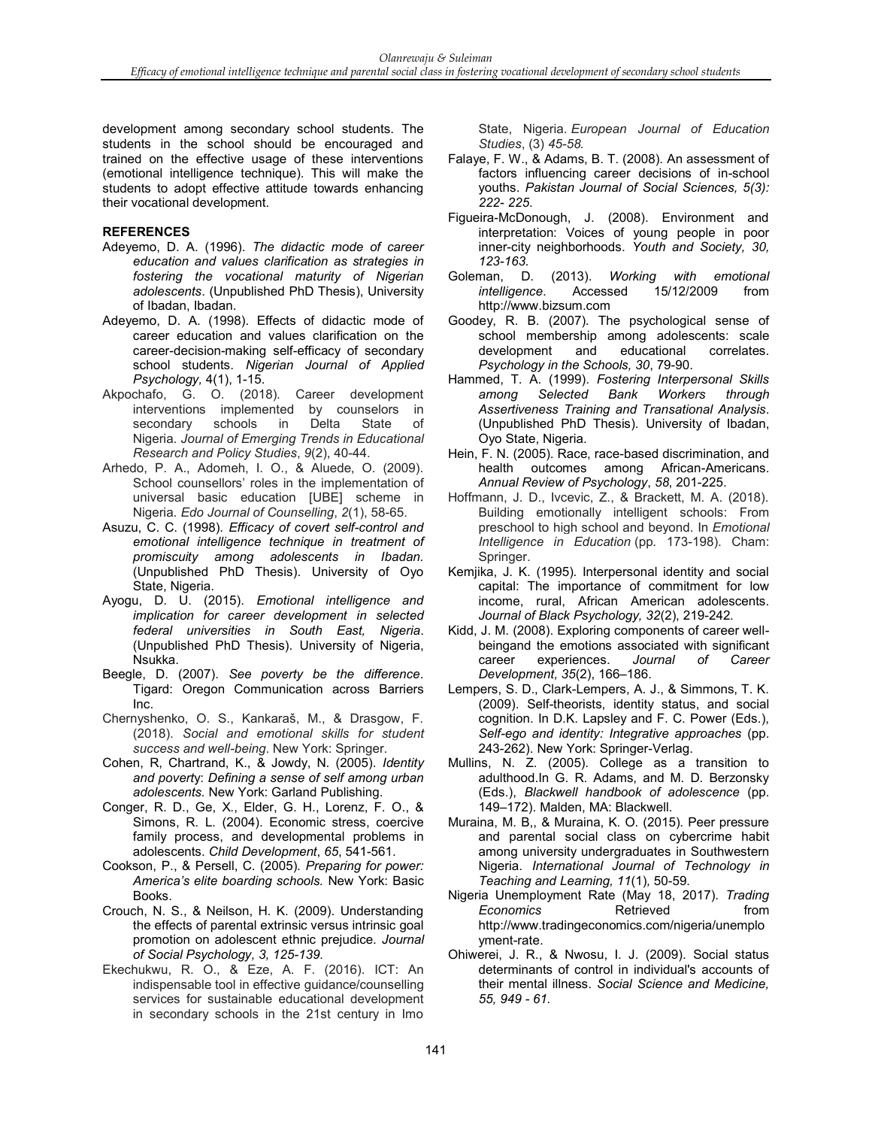development among secondary school students. The students in the school should be encouraged and trained on the effective usage of these interventions (emotional intelligence technique). This will make the students to adopt effective attitude towards enhancing their vocational development.

## **REFERENCES**

- Adeyemo, D. A. (1996). *The didactic mode of career education and values clarification as strategies in fostering the vocational maturity of Nigerian adolescents*. (Unpublished PhD Thesis), University of Ibadan, Ibadan.
- Adeyemo, D. A. (1998). Effects of didactic mode of career education and values clarification on the career-decision-making self-efficacy of secondary school students. *Nigerian Journal of Applied Psychology,* 4(1), 1-15.
- Akpochafo, G. O. (2018). Career development interventions implemented by counselors in secondary schools in Delta State of Nigeria. *Journal of Emerging Trends in Educational Research and Policy Studies*, *9*(2), 40-44.
- Arhedo, P. A., Adomeh, I. O., & Aluede, O. (2009). School counsellors' roles in the implementation of universal basic education [UBE] scheme in Nigeria. *Edo Journal of Counselling*, *2*(1), 58-65.
- Asuzu, C. C. (1998). *Efficacy of covert self-control and emotional intelligence technique in treatment of promiscuity among adolescents in Ibadan.* (Unpublished PhD Thesis). University of Oyo State, Nigeria.
- Ayogu, D. U. (2015). *Emotional intelligence and implication for career development in selected federal universities in South East, Nigeria*. (Unpublished PhD Thesis). University of Nigeria, Nsukka.
- Beegle, D. (2007). *See poverty be the difference*. Tigard: Oregon Communication across Barriers Inc.
- Chernyshenko, O. S., Kankaraš, M., & Drasgow, F. (2018). *Social and emotional skills for student success and well-being*. New York: Springer.
- Cohen, R, Chartrand, K., & Jowdy, N. (2005). *Identity and povert*y: *Defining a sense of self among urban adolescents.* New York: Garland Publishing.
- Conger, R. D., Ge, X., Elder, G. H., Lorenz, F. O., & Simons, R. L. (2004). Economic stress, coercive family process, and developmental problems in adolescents. *Child Development*, *65*, 541-561.
- Cookson, P., & Persell, C. (2005). *Preparing for power: America's elite boarding schools.* New York: Basic Books.
- Crouch, N. S., & Neilson, H. K. (2009). Understanding the effects of parental extrinsic versus intrinsic goal promotion on adolescent ethnic prejudice. *Journal of Social Psychology, 3, 125-139.*
- Ekechukwu, R. O., & Eze, A. F. (2016). ICT: An indispensable tool in effective guidance/counselling services for sustainable educational development in secondary schools in the 21st century in Imo

State, Nigeria. *European Journal of Education Studies*, (3) *45-58.*

- Falaye, F. W., & Adams, B. T. (2008). An assessment of factors influencing career decisions of in-school youths. *Pakistan Journal of Social Sciences, 5(3): 222- 225*.
- Figueira-McDonough, J. (2008). Environment and interpretation: Voices of young people in poor inner-city neighborhoods. *Youth and Society, 30, 123-163.*
- Goleman, D. (2013). *Working with emotional intelligence*. Accessed 15/12/2009 from http://www.bizsum.com
- Goodey, R. B. (2007). The psychological sense of school membership among adolescents: scale development and educational correlates. *Psychology in the Schools, 30*, 79-90.
- Hammed, T. A. (1999). *Fostering Interpersonal Skills among Selected Bank Workers through Assertiveness Training and Transational Analysis*. (Unpublished PhD Thesis). University of Ibadan, Oyo State, Nigeria.
- Hein, F. N. (2005). Race, race-based discrimination, and health outcomes among African-Americans. *Annual Review of Psychology*, *58*, 201-225.
- Hoffmann, J. D., Ivcevic, Z., & Brackett, M. A. (2018). Building emotionally intelligent schools: From preschool to high school and beyond. In *Emotional Intelligence in Education* (pp. 173-198). Cham: Springer.
- Kemjika, J. K. (1995). Interpersonal identity and social capital: The importance of commitment for low income, rural, African American adolescents. *Journal of Black Psychology, 32*(2), 219-242.
- Kidd, J. M. (2008). Exploring components of career wellbeingand the emotions associated with significant career experiences. *Journal of Career Development, 35*(2), 166–186.
- Lempers, S. D., Clark-Lempers, A. J., & Simmons, T. K. (2009). Self-theorists, identity status, and social cognition. In D.K. Lapsley and F. C. Power (Eds.), *Self-ego and identity: Integrative approaches* (pp. 243-262). New York: Springer-Verlag.
- Mullins, N. Z. (2005). College as a transition to adulthood.In G. R. Adams, and M. D. Berzonsky (Eds.), *Blackwell handbook of adolescence* (pp. 149–172). Malden, MA: Blackwell.
- Muraina, M. B,, & Muraina, K. O. (2015). Peer pressure and parental social class on cybercrime habit among university undergraduates in Southwestern Nigeria. *International Journal of Technology in Teaching and Learning, 11*(1)*,* 50-59*.*
- Nigeria Unemployment Rate (May 18, 2017). *Trading*  **Economics Retrieved heating from** http://www.tradingeconomics.com/nigeria/unemplo yment-rate.
- Ohiwerei, J. R., & Nwosu, I. J. (2009). Social status determinants of control in individual's accounts of their mental illness. *Social Science and Medicine, 55, 949 - 61.*